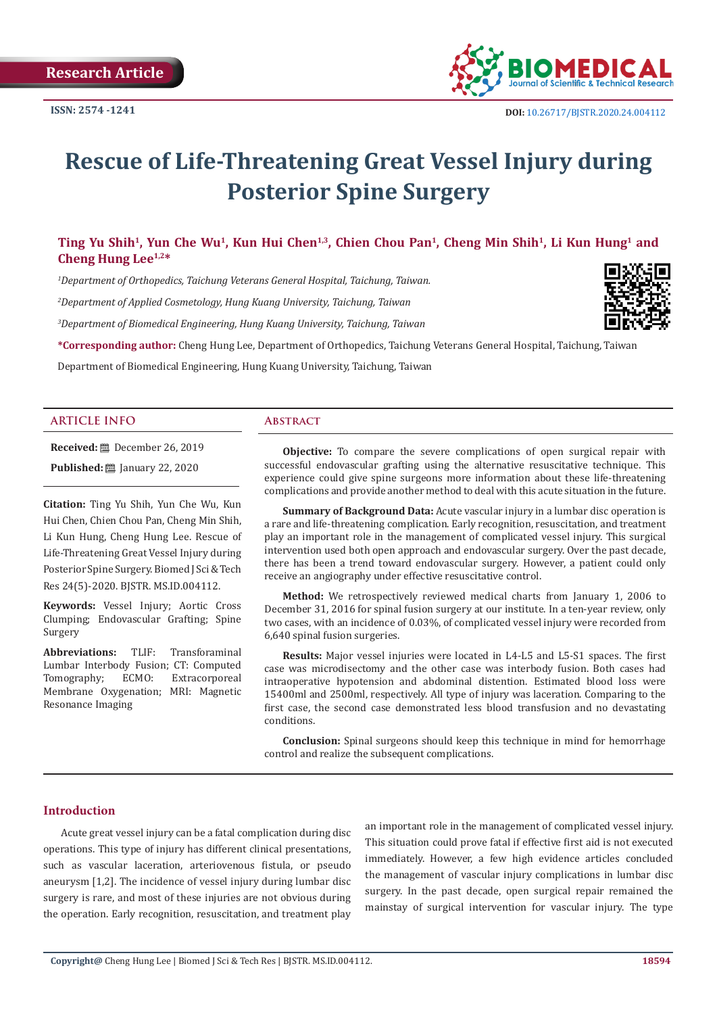

# **Rescue of Life-Threatening Great Vessel Injury during Posterior Spine Surgery**

# Ting Yu Shih<sup>1</sup>, Yun Che Wu<sup>1</sup>, Kun Hui Chen<sup>1,3</sup>, Chien Chou Pan<sup>1</sup>, Cheng Min Shih<sup>1</sup>, Li Kun Hung<sup>1</sup> and **Cheng Hung Lee1,2\***

*1 Department of Orthopedics, Taichung Veterans General Hospital, Taichung, Taiwan. 2 Department of Applied Cosmetology, Hung Kuang University, Taichung, Taiwan*

*3 Department of Biomedical Engineering, Hung Kuang University, Taichung, Taiwan*

**\*Corresponding author:** Cheng Hung Lee, Department of Orthopedics, Taichung Veterans General Hospital, Taichung, Taiwan

Department of Biomedical Engineering, Hung Kuang University, Taichung, Taiwan

#### **ARTICLE INFO Abstract**

**Received:** December 26, 2019 **Published:** ■ January 22, 2020

**Citation:** Ting Yu Shih, Yun Che Wu, Kun Hui Chen, Chien Chou Pan, Cheng Min Shih, Li Kun Hung, Cheng Hung Lee. Rescue of Life-Threatening Great Vessel Injury during Posterior Spine Surgery. Biomed J Sci & Tech Res 24(5)-2020. BJSTR. MS.ID.004112.

**Keywords:** Vessel Injury; Aortic Cross Clumping; Endovascular Grafting; Spine Surgery

**Abbreviations:** TLIF: Transforaminal Lumbar Interbody Fusion; CT: Computed<br>Tomography; ECMO: Extracorporeal Extracorporeal Membrane Oxygenation; MRI: Magnetic Resonance Imaging

**Objective:** To compare the severe complications of open surgical repair with successful endovascular grafting using the alternative resuscitative technique. This experience could give spine surgeons more information about these life-threatening complications and provide another method to deal with this acute situation in the future.

**Summary of Background Data:** Acute vascular injury in a lumbar disc operation is a rare and life-threatening complication. Early recognition, resuscitation, and treatment play an important role in the management of complicated vessel injury. This surgical intervention used both open approach and endovascular surgery. Over the past decade, there has been a trend toward endovascular surgery. However, a patient could only receive an angiography under effective resuscitative control.

**Method:** We retrospectively reviewed medical charts from January 1, 2006 to December 31, 2016 for spinal fusion surgery at our institute. In a ten-year review, only two cases, with an incidence of 0.03%, of complicated vessel injury were recorded from 6,640 spinal fusion surgeries.

**Results:** Major vessel injuries were located in L4-L5 and L5-S1 spaces. The first case was microdisectomy and the other case was interbody fusion. Both cases had intraoperative hypotension and abdominal distention. Estimated blood loss were 15400ml and 2500ml, respectively. All type of injury was laceration. Comparing to the first case, the second case demonstrated less blood transfusion and no devastating conditions.

**Conclusion:** Spinal surgeons should keep this technique in mind for hemorrhage control and realize the subsequent complications.

### **Introduction**

Acute great vessel injury can be a fatal complication during disc operations. This type of injury has different clinical presentations, such as vascular laceration, arteriovenous fistula, or pseudo aneurysm [1,2]. The incidence of vessel injury during lumbar disc surgery is rare, and most of these injuries are not obvious during the operation. Early recognition, resuscitation, and treatment play

an important role in the management of complicated vessel injury. This situation could prove fatal if effective first aid is not executed immediately. However, a few high evidence articles concluded the management of vascular injury complications in lumbar disc surgery. In the past decade, open surgical repair remained the mainstay of surgical intervention for vascular injury. The type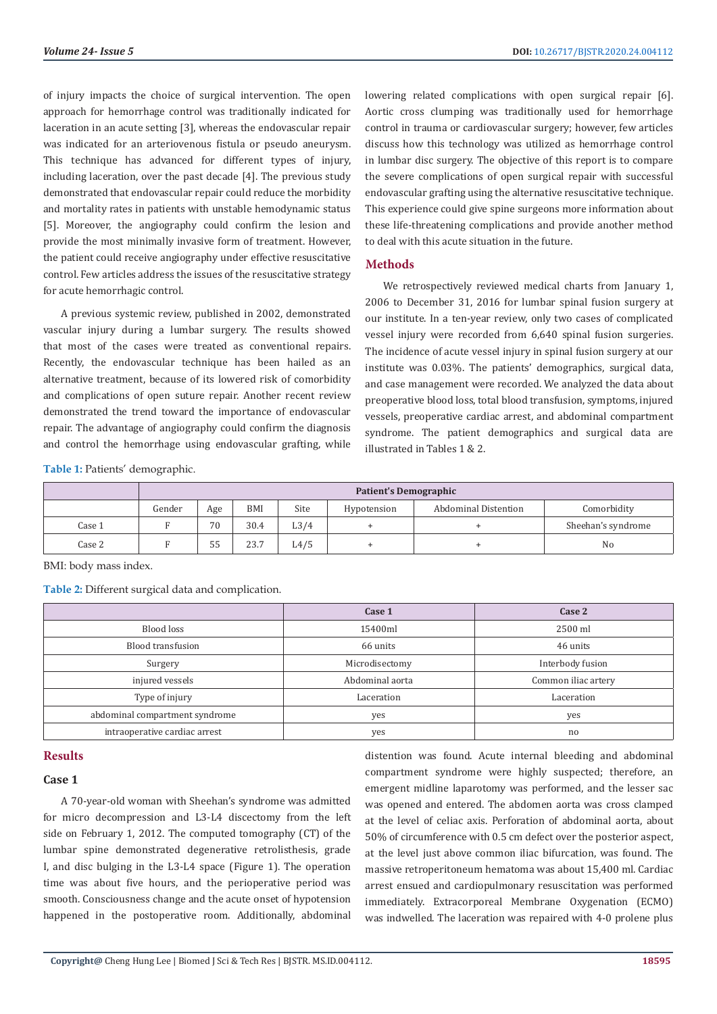of injury impacts the choice of surgical intervention. The open approach for hemorrhage control was traditionally indicated for laceration in an acute setting [3], whereas the endovascular repair was indicated for an arteriovenous fistula or pseudo aneurysm. This technique has advanced for different types of injury, including laceration, over the past decade [4]. The previous study demonstrated that endovascular repair could reduce the morbidity and mortality rates in patients with unstable hemodynamic status [5]. Moreover, the angiography could confirm the lesion and provide the most minimally invasive form of treatment. However, the patient could receive angiography under effective resuscitative control. Few articles address the issues of the resuscitative strategy for acute hemorrhagic control.

A previous systemic review, published in 2002, demonstrated vascular injury during a lumbar surgery. The results showed that most of the cases were treated as conventional repairs. Recently, the endovascular technique has been hailed as an alternative treatment, because of its lowered risk of comorbidity and complications of open suture repair. Another recent review demonstrated the trend toward the importance of endovascular repair. The advantage of angiography could confirm the diagnosis and control the hemorrhage using endovascular grafting, while

lowering related complications with open surgical repair [6]. Aortic cross clumping was traditionally used for hemorrhage control in trauma or cardiovascular surgery; however, few articles discuss how this technology was utilized as hemorrhage control in lumbar disc surgery. The objective of this report is to compare the severe complications of open surgical repair with successful endovascular grafting using the alternative resuscitative technique. This experience could give spine surgeons more information about these life-threatening complications and provide another method to deal with this acute situation in the future.

#### **Methods**

We retrospectively reviewed medical charts from January 1, 2006 to December 31, 2016 for lumbar spinal fusion surgery at our institute. In a ten-year review, only two cases of complicated vessel injury were recorded from 6,640 spinal fusion surgeries. The incidence of acute vessel injury in spinal fusion surgery at our institute was 0.03%. The patients' demographics, surgical data, and case management were recorded. We analyzed the data about preoperative blood loss, total blood transfusion, symptoms, injured vessels, preoperative cardiac arrest, and abdominal compartment syndrome. The patient demographics and surgical data are illustrated in Tables 1 & 2.

**Table 1:** Patients' demographic.

|        | <b>Patient's Demographic</b> |     |      |                   |             |                      |                    |
|--------|------------------------------|-----|------|-------------------|-------------|----------------------|--------------------|
|        | Gender                       | Age | BMI  | Site              | Hypotension | Abdominal Distention | Comorbidity        |
| Case 1 |                              | 70  | 30.4 | L <sub>3</sub> /4 |             |                      | Sheehan's syndrome |
| Case 2 |                              | 55  | 23.7 | L4/5              |             |                      | No                 |

BMI: body mass index.

**Table 2:** Different surgical data and complication.

|                                | Case 1          | Case 2              |
|--------------------------------|-----------------|---------------------|
| Blood loss                     | 15400ml         | 2500 ml             |
| Blood transfusion              | 66 units        | 46 units            |
| Surgery                        | Microdisectomy  | Interbody fusion    |
| injured vessels                | Abdominal aorta | Common iliac artery |
| Type of injury                 | Laceration      | Laceration          |
| abdominal compartment syndrome | yes             | yes                 |
| intraoperative cardiac arrest  | yes             | no                  |

#### **Results**

#### **Case 1**

A 70-year-old woman with Sheehan's syndrome was admitted for micro decompression and L3-L4 discectomy from the left side on February 1, 2012. The computed tomography (CT) of the lumbar spine demonstrated degenerative retrolisthesis, grade I, and disc bulging in the L3-L4 space (Figure 1). The operation time was about five hours, and the perioperative period was smooth. Consciousness change and the acute onset of hypotension happened in the postoperative room. Additionally, abdominal

distention was found. Acute internal bleeding and abdominal compartment syndrome were highly suspected; therefore, an emergent midline laparotomy was performed, and the lesser sac was opened and entered. The abdomen aorta was cross clamped at the level of celiac axis. Perforation of abdominal aorta, about 50% of circumference with 0.5 cm defect over the posterior aspect, at the level just above common iliac bifurcation, was found. The massive retroperitoneum hematoma was about 15,400 ml. Cardiac arrest ensued and cardiopulmonary resuscitation was performed immediately. Extracorporeal Membrane Oxygenation (ECMO) was indwelled. The laceration was repaired with 4-0 prolene plus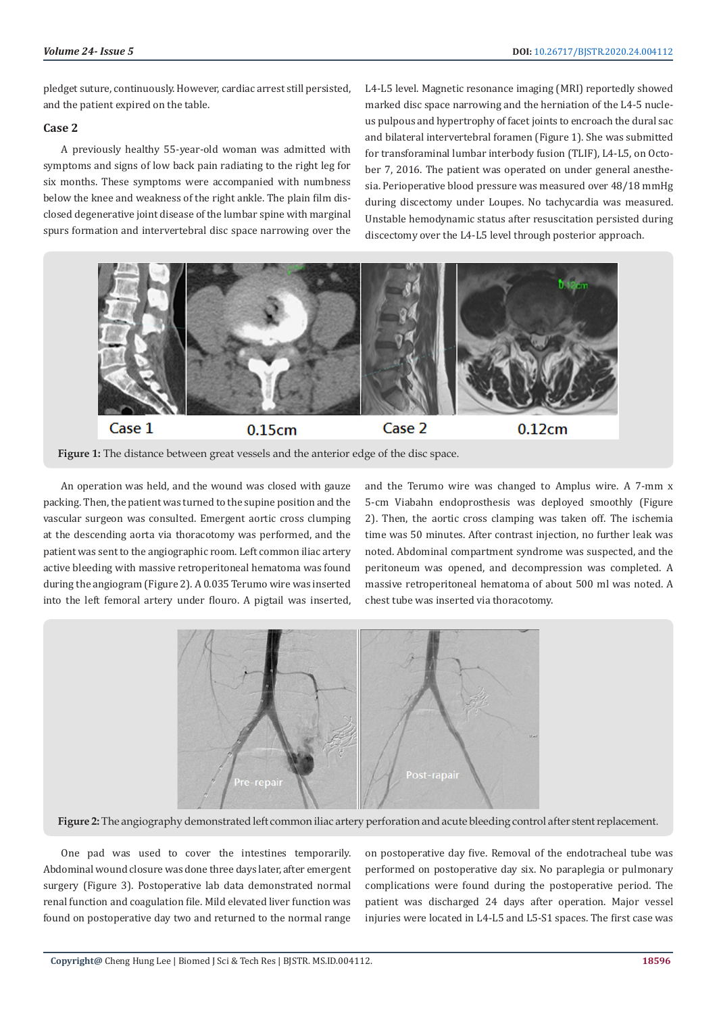pledget suture, continuously. However, cardiac arrest still persisted, and the patient expired on the table.

#### **Case 2**

A previously healthy 55-year-old woman was admitted with symptoms and signs of low back pain radiating to the right leg for six months. These symptoms were accompanied with numbness below the knee and weakness of the right ankle. The plain film disclosed degenerative joint disease of the lumbar spine with marginal spurs formation and intervertebral disc space narrowing over the

L4-L5 level. Magnetic resonance imaging (MRI) reportedly showed marked disc space narrowing and the herniation of the L4-5 nucleus pulpous and hypertrophy of facet joints to encroach the dural sac and bilateral intervertebral foramen (Figure 1). She was submitted for transforaminal lumbar interbody fusion (TLIF), L4-L5, on October 7, 2016. The patient was operated on under general anesthesia. Perioperative blood pressure was measured over 48/18 mmHg during discectomy under Loupes. No tachycardia was measured. Unstable hemodynamic status after resuscitation persisted during discectomy over the L4-L5 level through posterior approach.





An operation was held, and the wound was closed with gauze packing. Then, the patient was turned to the supine position and the vascular surgeon was consulted. Emergent aortic cross clumping at the descending aorta via thoracotomy was performed, and the patient was sent to the angiographic room. Left common iliac artery active bleeding with massive retroperitoneal hematoma was found during the angiogram (Figure 2). A 0.035 Terumo wire was inserted into the left femoral artery under flouro. A pigtail was inserted, and the Terumo wire was changed to Amplus wire. A 7-mm x 5-cm Viabahn endoprosthesis was deployed smoothly (Figure 2). Then, the aortic cross clamping was taken off. The ischemia time was 50 minutes. After contrast injection, no further leak was noted. Abdominal compartment syndrome was suspected, and the peritoneum was opened, and decompression was completed. A massive retroperitoneal hematoma of about 500 ml was noted. A chest tube was inserted via thoracotomy.



**Figure 2:** The angiography demonstrated left common iliac artery perforation and acute bleeding control after stent replacement.

One pad was used to cover the intestines temporarily. Abdominal wound closure was done three days later, after emergent surgery (Figure 3). Postoperative lab data demonstrated normal renal function and coagulation file. Mild elevated liver function was found on postoperative day two and returned to the normal range

on postoperative day five. Removal of the endotracheal tube was performed on postoperative day six. No paraplegia or pulmonary complications were found during the postoperative period. The patient was discharged 24 days after operation. Major vessel injuries were located in L4-L5 and L5-S1 spaces. The first case was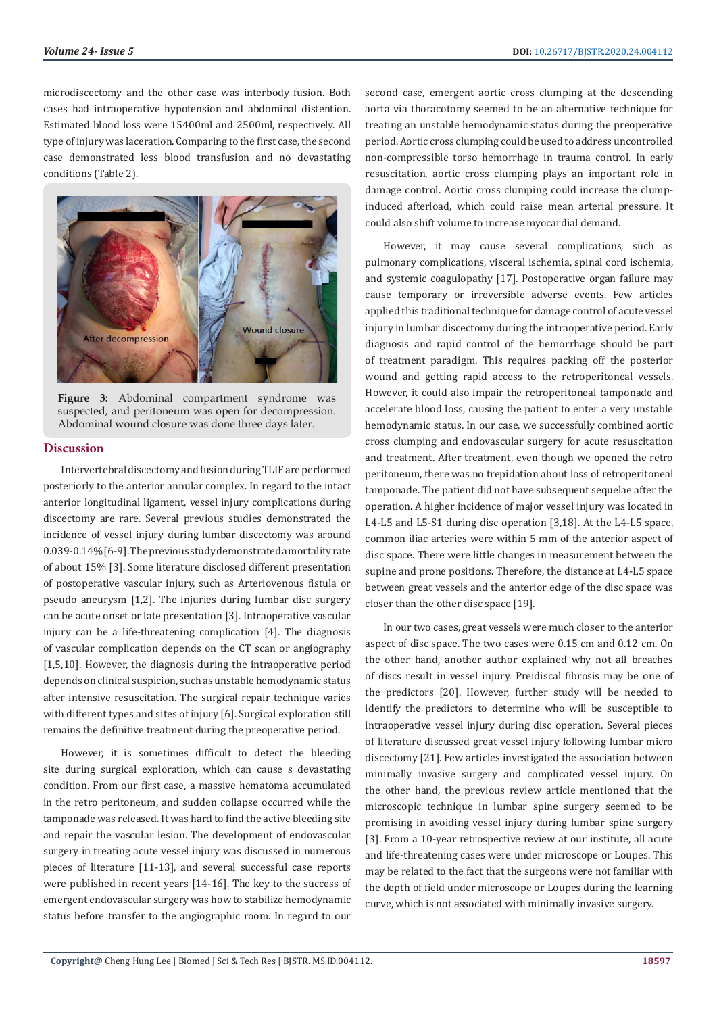microdiscectomy and the other case was interbody fusion. Both cases had intraoperative hypotension and abdominal distention. Estimated blood loss were 15400ml and 2500ml, respectively. All type of injury was laceration. Comparing to the first case, the second case demonstrated less blood transfusion and no devastating conditions (Table 2).



**Figure 3:** Abdominal compartment syndrome was suspected, and peritoneum was open for decompression. Abdominal wound closure was done three days later.

#### **Discussion**

Intervertebral discectomy and fusion during TLIF are performed posteriorly to the anterior annular complex. In regard to the intact anterior longitudinal ligament, vessel injury complications during discectomy are rare. Several previous studies demonstrated the incidence of vessel injury during lumbar discectomy was around 0.039-0.14% [6-9]. The previous study demonstrated a mortality rate of about 15% [3]. Some literature disclosed different presentation of postoperative vascular injury, such as Arteriovenous fistula or pseudo aneurysm [1,2]. The injuries during lumbar disc surgery can be acute onset or late presentation [3]. Intraoperative vascular injury can be a life-threatening complication [4]. The diagnosis of vascular complication depends on the CT scan or angiography [1,5,10]. However, the diagnosis during the intraoperative period depends on clinical suspicion, such as unstable hemodynamic status after intensive resuscitation. The surgical repair technique varies with different types and sites of injury [6]. Surgical exploration still remains the definitive treatment during the preoperative period.

However, it is sometimes difficult to detect the bleeding site during surgical exploration, which can cause s devastating condition. From our first case, a massive hematoma accumulated in the retro peritoneum, and sudden collapse occurred while the tamponade was released. It was hard to find the active bleeding site and repair the vascular lesion. The development of endovascular surgery in treating acute vessel injury was discussed in numerous pieces of literature [11-13], and several successful case reports were published in recent years [14-16]. The key to the success of emergent endovascular surgery was how to stabilize hemodynamic status before transfer to the angiographic room. In regard to our

second case, emergent aortic cross clumping at the descending aorta via thoracotomy seemed to be an alternative technique for treating an unstable hemodynamic status during the preoperative period. Aortic cross clumping could be used to address uncontrolled non-compressible torso hemorrhage in trauma control. In early resuscitation, aortic cross clumping plays an important role in damage control. Aortic cross clumping could increase the clumpinduced afterload, which could raise mean arterial pressure. It could also shift volume to increase myocardial demand.

However, it may cause several complications, such as pulmonary complications, visceral ischemia, spinal cord ischemia, and systemic coagulopathy [17]. Postoperative organ failure may cause temporary or irreversible adverse events. Few articles applied this traditional technique for damage control of acute vessel injury in lumbar discectomy during the intraoperative period. Early diagnosis and rapid control of the hemorrhage should be part of treatment paradigm. This requires packing off the posterior wound and getting rapid access to the retroperitoneal vessels. However, it could also impair the retroperitoneal tamponade and accelerate blood loss, causing the patient to enter a very unstable hemodynamic status. In our case, we successfully combined aortic cross clumping and endovascular surgery for acute resuscitation and treatment. After treatment, even though we opened the retro peritoneum, there was no trepidation about loss of retroperitoneal tamponade. The patient did not have subsequent sequelae after the operation. A higher incidence of major vessel injury was located in L4-L5 and L5-S1 during disc operation [3,18]. At the L4-L5 space, common iliac arteries were within 5 mm of the anterior aspect of disc space. There were little changes in measurement between the supine and prone positions. Therefore, the distance at L4-L5 space between great vessels and the anterior edge of the disc space was closer than the other disc space [19].

In our two cases, great vessels were much closer to the anterior aspect of disc space. The two cases were 0.15 cm and 0.12 cm. On the other hand, another author explained why not all breaches of discs result in vessel injury. Preidiscal fibrosis may be one of the predictors [20]. However, further study will be needed to identify the predictors to determine who will be susceptible to intraoperative vessel injury during disc operation. Several pieces of literature discussed great vessel injury following lumbar micro discectomy [21]. Few articles investigated the association between minimally invasive surgery and complicated vessel injury. On the other hand, the previous review article mentioned that the microscopic technique in lumbar spine surgery seemed to be promising in avoiding vessel injury during lumbar spine surgery [3]. From a 10-year retrospective review at our institute, all acute and life-threatening cases were under microscope or Loupes. This may be related to the fact that the surgeons were not familiar with the depth of field under microscope or Loupes during the learning curve, which is not associated with minimally invasive surgery.